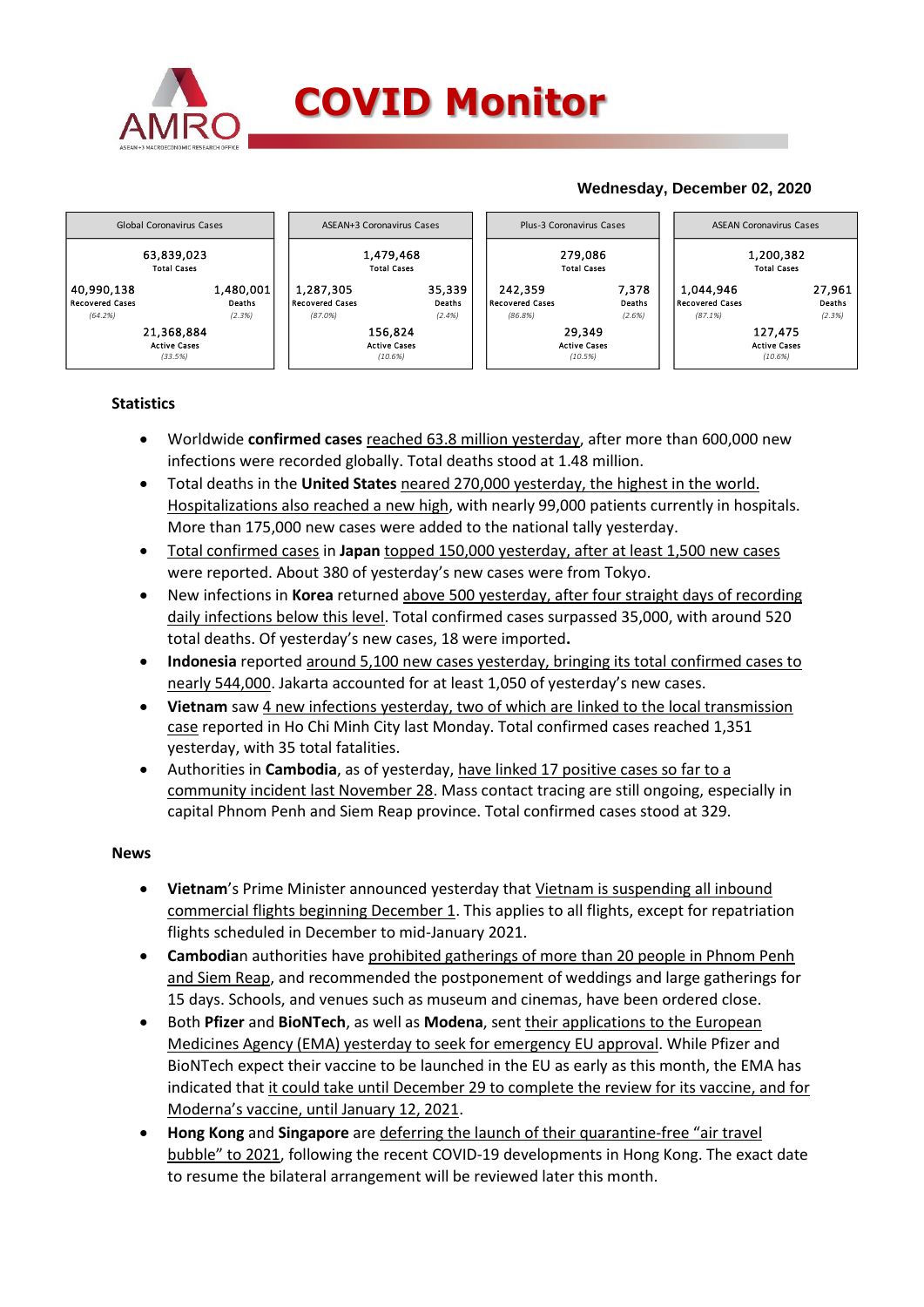

## **COVID Monitor**

## **Wednesday, December 02, 2020**



### **Statistics**

- Worldwide **confirmed cases** reached 63.8 million yesterday, after more than 600,000 new infections were recorded globally. Total deaths stood at 1.48 million.
- Total deaths in the **United States** neared 270,000 yesterday, the highest in the world. Hospitalizations also reached a new high, with nearly 99,000 patients currently in hospitals. More than 175,000 new cases were added to the national tally yesterday.
- Total confirmed cases in **Japan** topped 150,000 yesterday, after at least 1,500 new cases were reported. About 380 of yesterday's new cases were from Tokyo.
- New infections in **Korea** returned above 500 yesterday, after four straight days of recording daily infections below this level. Total confirmed cases surpassed 35,000, with around 520 total deaths. Of yesterday's new cases, 18 were imported**.**
- **Indonesia** reported around 5,100 new cases yesterday, bringing its total confirmed cases to nearly 544,000. Jakarta accounted for at least 1,050 of yesterday's new cases.
- **Vietnam** saw 4 new infections yesterday, two of which are linked to the local transmission case reported in Ho Chi Minh City last Monday. Total confirmed cases reached 1,351 yesterday, with 35 total fatalities.
- Authorities in **Cambodia**, as of yesterday, have linked 17 positive cases so far to a community incident last November 28. Mass contact tracing are still ongoing, especially in capital Phnom Penh and Siem Reap province. Total confirmed cases stood at 329.

### **News**

- **Vietnam**'s Prime Minister announced yesterday that Vietnam is suspending all inbound commercial flights beginning December 1. This applies to all flights, except for repatriation flights scheduled in December to mid-January 2021.
- **Cambodia**n authorities have prohibited gatherings of more than 20 people in Phnom Penh and Siem Reap, and recommended the postponement of weddings and large gatherings for 15 days. Schools, and venues such as museum and cinemas, have been ordered close.
- Both **Pfizer** and **BioNTech**, as well as **Modena**, sent their applications to the European Medicines Agency (EMA) yesterday to seek for emergency EU approval. While Pfizer and BioNTech expect their vaccine to be launched in the EU as early as this month, the EMA has indicated that it could take until December 29 to complete the review for its vaccine, and for Moderna's vaccine, until January 12, 2021.
- **Hong Kong** and **Singapore** are deferring the launch of their quarantine-free "air travel bubble" to 2021, following the recent COVID-19 developments in Hong Kong. The exact date to resume the bilateral arrangement will be reviewed later this month.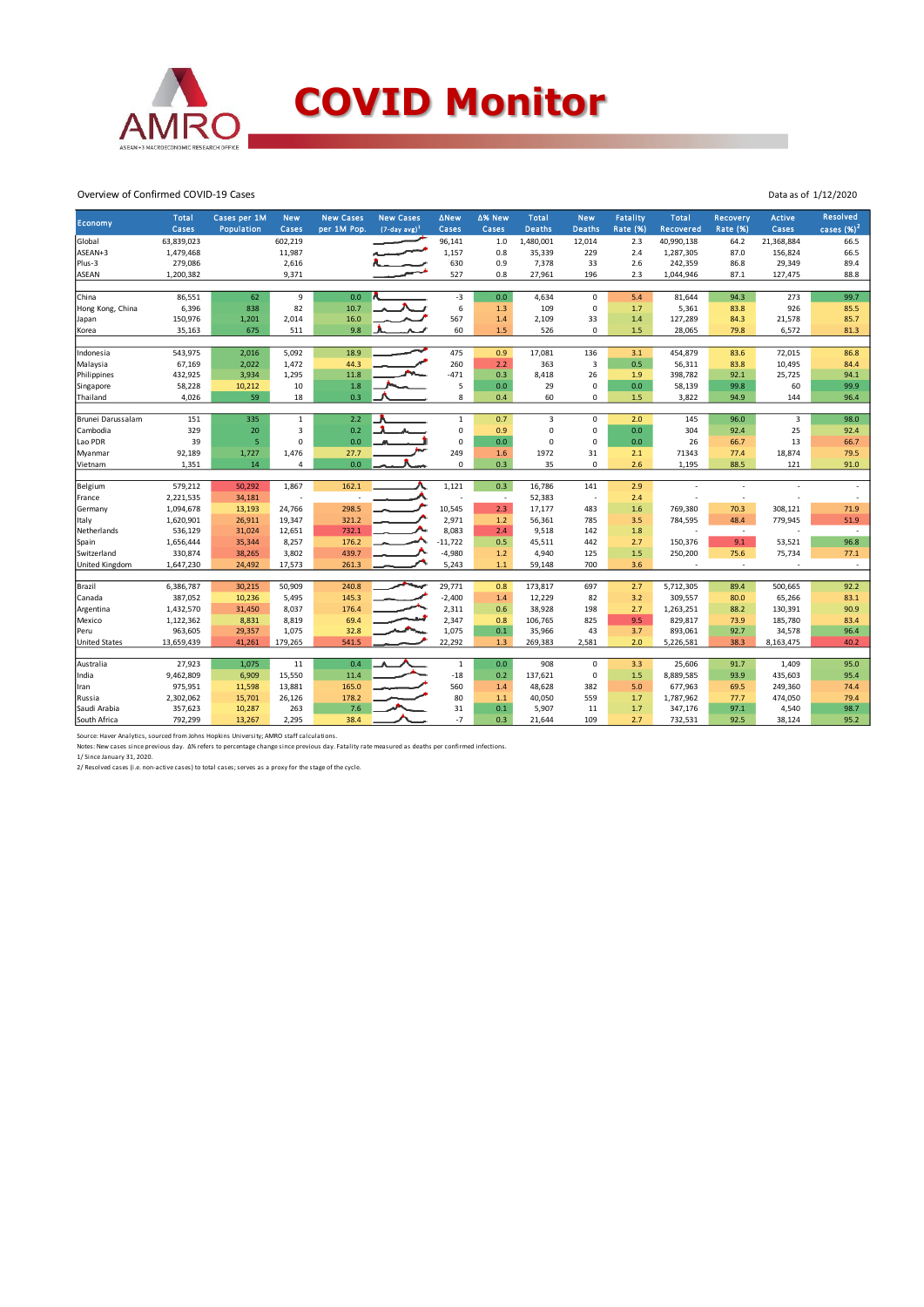

#### Overview of Confirmed COVID-19 Cases

|                      | Total      | Cases per 1M | <b>New</b>   | <b>New Cases</b> | <b>New Cases</b>   | <b>ANew</b>         | Δ% New                   | <b>Total</b>   | <b>New</b>               | Fatality | <b>Total</b>             | Recovery                 | <b>Active</b> | Resolved     |
|----------------------|------------|--------------|--------------|------------------|--------------------|---------------------|--------------------------|----------------|--------------------------|----------|--------------------------|--------------------------|---------------|--------------|
| Economy              | Cases      | Population   | Cases        | per 1M Pop.      | $(7-day \, avg)^1$ | Cases               | Cases                    | <b>Deaths</b>  | <b>Deaths</b>            | Rate (%) | Recovered                | <b>Rate (%)</b>          | Cases         | cases $(%)2$ |
| Global               | 63,839,023 |              | 602,219      |                  |                    | 96,141              | 1.0                      | 1,480,001      | 12,014                   | 2.3      | 40,990,138               | 64.2                     | 21,368,884    | 66.5         |
| ASEAN+3              | 1,479,468  |              | 11,987       |                  |                    | 1,157               | 0.8                      | 35,339         | 229                      | 2.4      | 1,287,305                | 87.0                     | 156,824       | 66.5         |
| Plus-3               | 279,086    |              | 2,616        |                  |                    | 630                 | 0.9                      | 7,378          | 33                       | 2.6      | 242,359                  | 86.8                     | 29,349        | 89.4         |
| ASEAN                | 1,200,382  |              | 9,371        |                  |                    | 527                 | 0.8                      | 27,961         | 196                      | 2.3      | 1,044,946                | 87.1                     | 127,475       | 88.8         |
|                      |            |              |              |                  |                    |                     |                          |                |                          |          |                          |                          |               |              |
| China                | 86,551     | 62           | 9            | 0.0              |                    | $-3$                | 0.0                      | 4,634          | 0                        | 5.4      | 81,644                   | 94.3                     | 273           | 99.7         |
| Hong Kong, China     | 6,396      | 838          | 82           | 10.7             |                    | 6                   | 1.3                      | 109            | 0                        | 1.7      | 5,361                    | 83.8                     | 926           | 85.5         |
| Japan                | 150,976    | 1,201        | 2,014        | 16.0             |                    | 567                 | 1.4                      | 2,109          | 33                       | 1.4      | 127,289                  | 84.3                     | 21,578        | 85.7         |
| Korea                | 35,163     | 675          | 511          | 9.8              |                    | 60                  | 1.5                      | 526            | 0                        | 1.5      | 28,065                   | 79.8                     | 6,572         | 81.3         |
|                      |            |              |              |                  |                    |                     |                          |                |                          |          |                          |                          |               |              |
| Indonesia            | 543,975    | 2,016        | 5,092        | 18.9             |                    | 475                 | 0.9                      | 17,081         | 136                      | 3.1      | 454,879                  | 83.6                     | 72,015        | 86.8         |
| Malaysia             | 67,169     | 2,022        | 1,472        | 44.3             |                    | 260                 | 2.2                      | 363            | 3                        | 0.5      | 56,311                   | 83.8                     | 10,495        | 84.4         |
| Philippines          | 432,925    | 3,934        | 1,295        | 11.8             |                    | $-471$              | 0.3                      | 8,418          | 26                       | 1.9      | 398,782                  | 92.1                     | 25,725        | 94.1         |
| Singapore            | 58,228     | 10,212       | 10           | 1.8              |                    | 5                   | $0.0\,$                  | 29             | 0                        | 0.0      | 58,139                   | 99.8                     | 60            | 99.9         |
| Thailand             | 4,026      | 59           | 18           | 0.3              |                    | 8                   | 0.4                      | 60             | 0                        | 1.5      | 3,822                    | 94.9                     | 144           | 96.4         |
| Brunei Darussalam    | 151        | 335          | $\mathbf{1}$ | 2.2              |                    | $\mathbf 1$         | 0.7                      | $\overline{3}$ | 0                        | 2.0      | 145                      | 96.0                     | 3             | 98.0         |
| Cambodia             | 329        | 20           | 3            | 0.2              |                    | $\mathsf{O}\xspace$ | 0.9                      | $\mathbf 0$    | 0                        | 0.0      | 304                      | 92.4                     | 25            | 92.4         |
| Lao PDR              | 39         | 5            | $\mathbf 0$  | 0.0              |                    | $\mathsf 0$         | 0.0                      | $\mathbf 0$    | 0                        | 0.0      | 26                       | 66.7                     | 13            | 66.7         |
| Myanmar              | 92,189     | 1,727        | 1,476        | 27.7             |                    | 249                 | 1.6                      | 1972           | 31                       | 2.1      | 71343                    | 77.4                     | 18,874        | 79.5         |
| Vietnam              | 1,351      | 14           | 4            | 0.0              |                    | $\mathsf 0$         | 0.3                      | 35             | 0                        | 2.6      | 1,195                    | 88.5                     | 121           | 91.0         |
|                      |            |              |              |                  |                    |                     |                          |                |                          |          |                          |                          |               |              |
| Belgium              | 579,212    | 50,292       | 1,867        | 162.1            |                    | 1,121               | 0.3                      | 16,786         | 141                      | 2.9      |                          | $\overline{a}$           |               |              |
| France               | 2,221,535  | 34,181       | ł,           |                  |                    |                     | $\overline{\phantom{a}}$ | 52,383         | $\overline{\phantom{a}}$ | 2.4      |                          | $\overline{a}$           |               |              |
| Germany              | 1,094,678  | 13,193       | 24,766       | 298.5            |                    | 10,545              | 2.3                      | 17,177         | 483                      | 1.6      | 769,380                  | 70.3                     | 308,121       | 71.9         |
| Italy                | 1,620,901  | 26,911       | 19,347       | 321.2            |                    | 2,971               | $1.2$                    | 56,361         | 785                      | 3.5      | 784,595                  | 48.4                     | 779,945       | 51.9         |
| Netherlands          | 536,129    | 31,024       | 12,651       | 732.1            |                    | 8,083               | 2.4                      | 9,518          | 142                      | 1.8      | ٠                        | $\sim$                   |               | $\sim$       |
| Spain                | 1,656,444  | 35,344       | 8,257        | 176.2            |                    | $-11,722$           | 0.5                      | 45,511         | 442                      | 2.7      | 150,376                  | 9.1                      | 53,521        | 96.8         |
| Switzerland          | 330,874    | 38,265       | 3,802        | 439.7            |                    | $-4,980$            | 1.2                      | 4,940          | 125                      | 1.5      | 250,200                  | 75.6                     | 75,734        | 77.1         |
| United Kingdom       | 1,647,230  | 24,492       | 17,573       | 261.3            |                    | 5,243               | $1.1$                    | 59,148         | 700                      | 3.6      | $\overline{\phantom{a}}$ | $\overline{\phantom{a}}$ | $\sim$        | $\sim$       |
|                      |            |              |              |                  |                    |                     |                          |                |                          |          |                          |                          |               |              |
| Brazil               | 6,386,787  | 30,215       | 50,909       | 240.8            |                    | 29,771              | 0.8                      | 173,817        | 697                      | 2.7      | 5,712,305                | 89.4                     | 500,665       | 92.2         |
| Canada               | 387,052    | 10,236       | 5,495        | 145.3            |                    | $-2,400$            | 1.4                      | 12,229         | 82                       | 3.2      | 309,557                  | 80.0                     | 65,266        | 83.1         |
| Argentina            | 1,432,570  | 31,450       | 8,037        | 176.4            |                    | 2,311               | 0.6                      | 38,928         | 198                      | 2.7      | 1,263,251                | 88.2                     | 130,391       | 90.9         |
| Mexico               | 1,122,362  | 8,831        | 8,819        | 69.4             |                    | 2,347               | 0.8                      | 106,765        | 825                      | 9.5      | 829,817                  | 73.9                     | 185,780       | 83.4         |
| Peru                 | 963,605    | 29,357       | 1,075        | 32.8             |                    | 1,075               | 0.1                      | 35,966         | 43                       | 3.7      | 893,061                  | 92.7                     | 34,578        | 96.4         |
| <b>United States</b> | 13,659,439 | 41,261       | 179,265      | 541.5            |                    | 22,292              | 1.3                      | 269,383        | 2,581                    | 2.0      | 5,226,581                | 38.3                     | 8,163,475     | 40.2         |
| Australia            | 27,923     | 1,075        | 11           | 0.4              |                    | $\,1\,$             | 0.0                      | 908            | 0                        | 3.3      | 25,606                   | 91.7                     | 1,409         | 95.0         |
| India                | 9,462,809  | 6,909        | 15,550       | 11.4             |                    | $-18$               | 0.2                      | 137,621        | 0                        | 1.5      | 8,889,585                | 93.9                     | 435,603       | 95.4         |
| Iran                 | 975,951    | 11,598       | 13,881       | 165.0            |                    | 560                 | 1.4                      | 48,628         | 382                      | 5.0      | 677,963                  | 69.5                     | 249,360       | 74.4         |
| Russia               | 2,302,062  | 15,701       | 26,126       | 178.2            |                    | 80                  | 1.1                      | 40,050         | 559                      | 1.7      | 1,787,962                | 77.7                     | 474,050       | 79.4         |
| Saudi Arabia         | 357,623    | 10,287       | 263          | 7.6              |                    | 31                  | 0.1                      | 5,907          | 11                       | 1.7      | 347,176                  | 97.1                     | 4,540         | 98.7         |
| South Africa         | 792,299    | 13,267       | 2,295        | 38.4             |                    | $-7$                | 0.3                      | 21,644         | 109                      | 2.7      | 732,531                  | 92.5                     | 38,124        | 95.2         |
|                      |            |              |              |                  |                    |                     |                          |                |                          |          |                          |                          |               |              |

Source: Haver Analytics, sourced from Johns Hopkins University; AMRO staff calculations.

Notes: New cases since previous day. Δ% refers to percentage change since previous day. Fatality rate measured as deaths per confirmed infections.<br>1/ Since January 31, 2020.<br>2/ Resolved cases (i.e. non-active cases) to tot

Data as of 1/12/2020